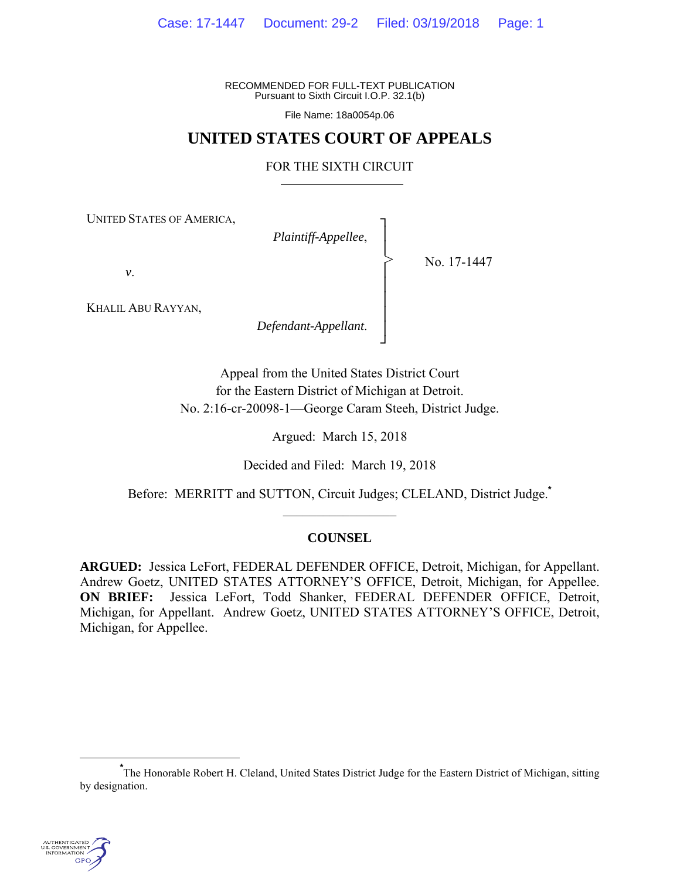RECOMMENDED FOR FULL-TEXT PUBLICATION Pursuant to Sixth Circuit I.O.P. 32.1(b)

File Name: 18a0054p.06

# **UNITED STATES COURT OF APPEALS**

## FOR THE SIXTH CIRCUIT

┐ │ │ │ │ │ │ │ ┘

>

UNITED STATES OF AMERICA,

*Plaintiff-Appellee*,

No. 17-1447

*v*.

KHALIL ABU RAYYAN,

*Defendant-Appellant*.

Appeal from the United States District Court for the Eastern District of Michigan at Detroit. No. 2:16-cr-20098-1—George Caram Steeh, District Judge.

Argued: March 15, 2018

Decided and Filed: March 19, 2018

Before: MERRITT and SUTTON, Circuit Judges; CLELAND, District Judge.**\***  $\frac{1}{2}$  ,  $\frac{1}{2}$  ,  $\frac{1}{2}$  ,  $\frac{1}{2}$  ,  $\frac{1}{2}$  ,  $\frac{1}{2}$  ,  $\frac{1}{2}$  ,  $\frac{1}{2}$  ,  $\frac{1}{2}$ 

## **COUNSEL**

**ARGUED:** Jessica LeFort, FEDERAL DEFENDER OFFICE, Detroit, Michigan, for Appellant. Andrew Goetz, UNITED STATES ATTORNEY'S OFFICE, Detroit, Michigan, for Appellee. **ON BRIEF:** Jessica LeFort, Todd Shanker, FEDERAL DEFENDER OFFICE, Detroit, Michigan, for Appellant. Andrew Goetz, UNITED STATES ATTORNEY'S OFFICE, Detroit, Michigan, for Appellee.

**\*** The Honorable Robert H. Cleland, United States District Judge for the Eastern District of Michigan, sitting by designation.

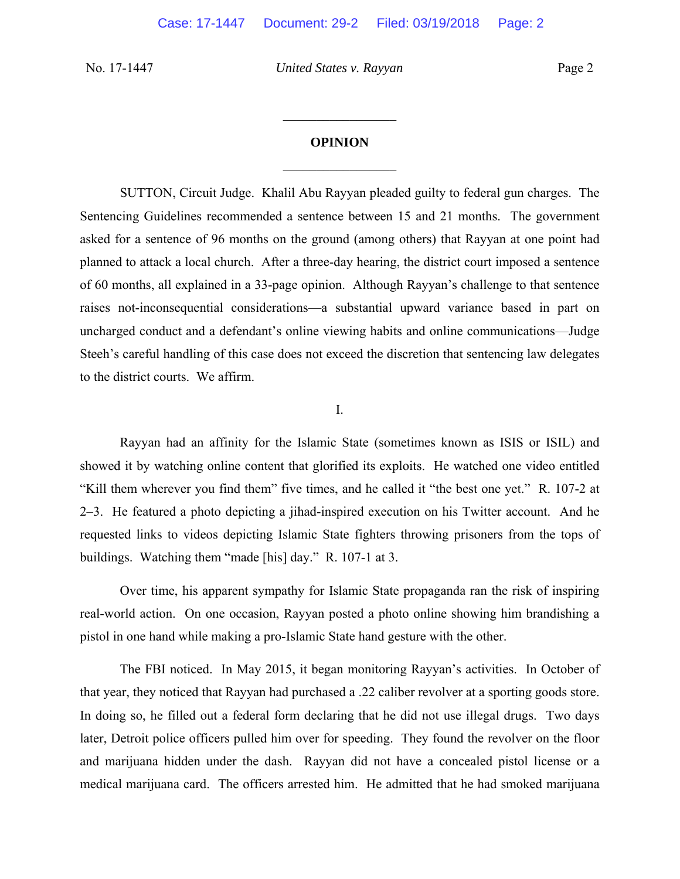### **OPINION**

 $\frac{1}{2}$ 

 $\frac{1}{2}$ 

 SUTTON, Circuit Judge. Khalil Abu Rayyan pleaded guilty to federal gun charges. The Sentencing Guidelines recommended a sentence between 15 and 21 months. The government asked for a sentence of 96 months on the ground (among others) that Rayyan at one point had planned to attack a local church. After a three-day hearing, the district court imposed a sentence of 60 months, all explained in a 33-page opinion. Although Rayyan's challenge to that sentence raises not-inconsequential considerations—a substantial upward variance based in part on uncharged conduct and a defendant's online viewing habits and online communications—Judge Steeh's careful handling of this case does not exceed the discretion that sentencing law delegates to the district courts. We affirm.

I.

 Rayyan had an affinity for the Islamic State (sometimes known as ISIS or ISIL) and showed it by watching online content that glorified its exploits. He watched one video entitled "Kill them wherever you find them" five times, and he called it "the best one yet." R. 107-2 at 2–3. He featured a photo depicting a jihad-inspired execution on his Twitter account. And he requested links to videos depicting Islamic State fighters throwing prisoners from the tops of buildings. Watching them "made [his] day." R. 107-1 at 3.

Over time, his apparent sympathy for Islamic State propaganda ran the risk of inspiring real-world action. On one occasion, Rayyan posted a photo online showing him brandishing a pistol in one hand while making a pro-Islamic State hand gesture with the other.

 The FBI noticed. In May 2015, it began monitoring Rayyan's activities. In October of that year, they noticed that Rayyan had purchased a .22 caliber revolver at a sporting goods store. In doing so, he filled out a federal form declaring that he did not use illegal drugs. Two days later, Detroit police officers pulled him over for speeding. They found the revolver on the floor and marijuana hidden under the dash. Rayyan did not have a concealed pistol license or a medical marijuana card. The officers arrested him. He admitted that he had smoked marijuana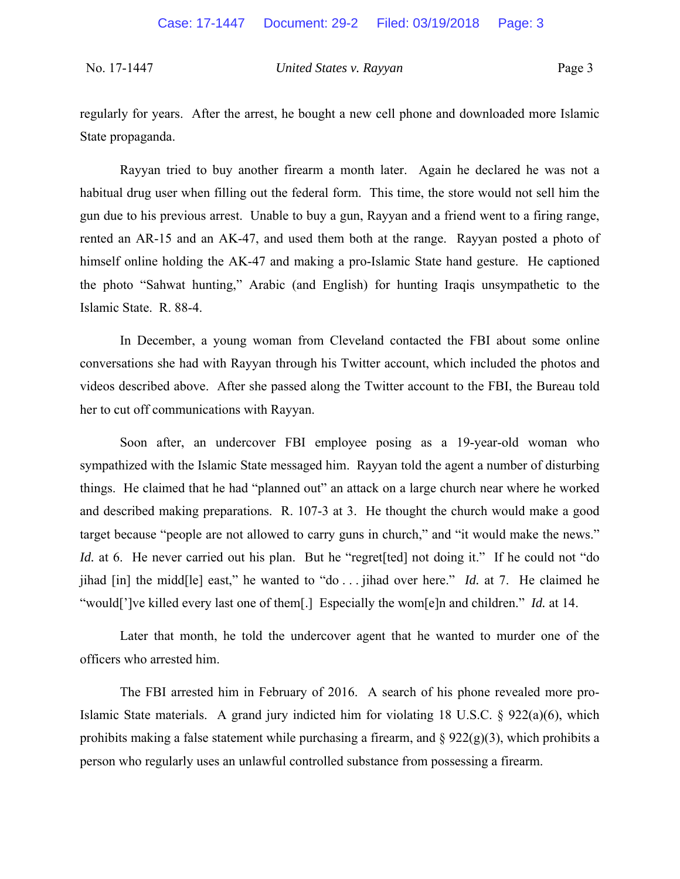regularly for years. After the arrest, he bought a new cell phone and downloaded more Islamic State propaganda.

Rayyan tried to buy another firearm a month later. Again he declared he was not a habitual drug user when filling out the federal form. This time, the store would not sell him the gun due to his previous arrest. Unable to buy a gun, Rayyan and a friend went to a firing range, rented an AR-15 and an AK-47, and used them both at the range. Rayyan posted a photo of himself online holding the AK-47 and making a pro-Islamic State hand gesture. He captioned the photo "Sahwat hunting," Arabic (and English) for hunting Iraqis unsympathetic to the Islamic State. R. 88-4.

 In December, a young woman from Cleveland contacted the FBI about some online conversations she had with Rayyan through his Twitter account, which included the photos and videos described above. After she passed along the Twitter account to the FBI, the Bureau told her to cut off communications with Rayyan.

Soon after, an undercover FBI employee posing as a 19-year-old woman who sympathized with the Islamic State messaged him. Rayyan told the agent a number of disturbing things. He claimed that he had "planned out" an attack on a large church near where he worked and described making preparations. R. 107-3 at 3. He thought the church would make a good target because "people are not allowed to carry guns in church," and "it would make the news." *Id.* at 6. He never carried out his plan. But he "regret [ted] not doing it." If he could not "do jihad [in] the midd[le] east," he wanted to "do . . . jihad over here." *Id.* at 7. He claimed he "would[']ve killed every last one of them[.] Especially the wom[e]n and children." *Id.* at 14.

Later that month, he told the undercover agent that he wanted to murder one of the officers who arrested him.

 The FBI arrested him in February of 2016. A search of his phone revealed more pro-Islamic State materials. A grand jury indicted him for violating 18 U.S.C. § 922(a)(6), which prohibits making a false statement while purchasing a firearm, and  $\S 922(g)(3)$ , which prohibits a person who regularly uses an unlawful controlled substance from possessing a firearm.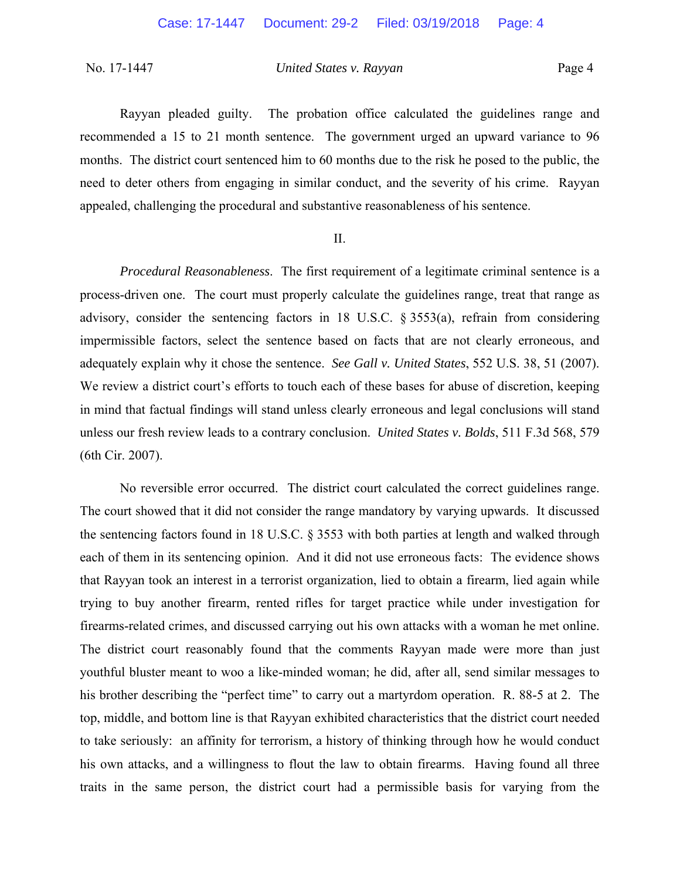Rayyan pleaded guilty. The probation office calculated the guidelines range and recommended a 15 to 21 month sentence. The government urged an upward variance to 96 months. The district court sentenced him to 60 months due to the risk he posed to the public, the need to deter others from engaging in similar conduct, and the severity of his crime. Rayyan appealed, challenging the procedural and substantive reasonableness of his sentence.

### II.

*Procedural Reasonableness*. The first requirement of a legitimate criminal sentence is a process-driven one. The court must properly calculate the guidelines range, treat that range as advisory, consider the sentencing factors in 18 U.S.C. § 3553(a), refrain from considering impermissible factors, select the sentence based on facts that are not clearly erroneous, and adequately explain why it chose the sentence. *See Gall v. United States*, 552 U.S. 38, 51 (2007). We review a district court's efforts to touch each of these bases for abuse of discretion, keeping in mind that factual findings will stand unless clearly erroneous and legal conclusions will stand unless our fresh review leads to a contrary conclusion. *United States v. Bolds*, 511 F.3d 568, 579 (6th Cir. 2007).

No reversible error occurred. The district court calculated the correct guidelines range. The court showed that it did not consider the range mandatory by varying upwards. It discussed the sentencing factors found in 18 U.S.C. § 3553 with both parties at length and walked through each of them in its sentencing opinion. And it did not use erroneous facts: The evidence shows that Rayyan took an interest in a terrorist organization, lied to obtain a firearm, lied again while trying to buy another firearm, rented rifles for target practice while under investigation for firearms-related crimes, and discussed carrying out his own attacks with a woman he met online. The district court reasonably found that the comments Rayyan made were more than just youthful bluster meant to woo a like-minded woman; he did, after all, send similar messages to his brother describing the "perfect time" to carry out a martyrdom operation. R. 88-5 at 2.The top, middle, and bottom line is that Rayyan exhibited characteristics that the district court needed to take seriously: an affinity for terrorism, a history of thinking through how he would conduct his own attacks, and a willingness to flout the law to obtain firearms. Having found all three traits in the same person, the district court had a permissible basis for varying from the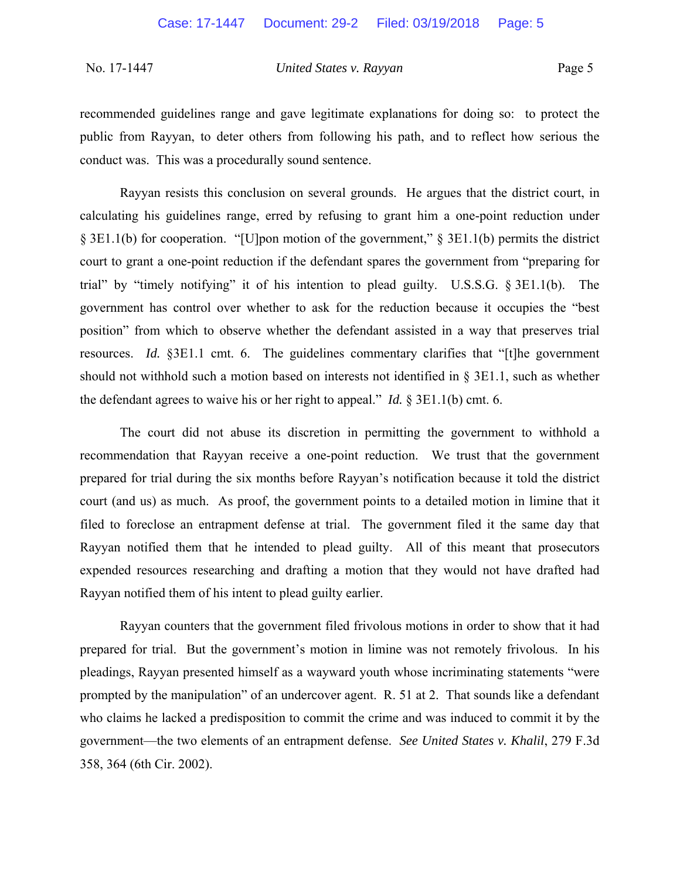recommended guidelines range and gave legitimate explanations for doing so: to protect the public from Rayyan, to deter others from following his path, and to reflect how serious the conduct was. This was a procedurally sound sentence.

Rayyan resists this conclusion on several grounds. He argues that the district court, in calculating his guidelines range, erred by refusing to grant him a one-point reduction under § 3E1.1(b) for cooperation. "[U]pon motion of the government," § 3E1.1(b) permits the district court to grant a one-point reduction if the defendant spares the government from "preparing for trial" by "timely notifying" it of his intention to plead guilty. U.S.S.G. § 3E1.1(b). The government has control over whether to ask for the reduction because it occupies the "best position" from which to observe whether the defendant assisted in a way that preserves trial resources. *Id.* §3E1.1 cmt. 6. The guidelines commentary clarifies that "[t]he government should not withhold such a motion based on interests not identified in § 3E1.1, such as whether the defendant agrees to waive his or her right to appeal." *Id.* § 3E1.1(b) cmt. 6.

The court did not abuse its discretion in permitting the government to withhold a recommendation that Rayyan receive a one-point reduction. We trust that the government prepared for trial during the six months before Rayyan's notification because it told the district court (and us) as much. As proof, the government points to a detailed motion in limine that it filed to foreclose an entrapment defense at trial. The government filed it the same day that Rayyan notified them that he intended to plead guilty. All of this meant that prosecutors expended resources researching and drafting a motion that they would not have drafted had Rayyan notified them of his intent to plead guilty earlier.

Rayyan counters that the government filed frivolous motions in order to show that it had prepared for trial. But the government's motion in limine was not remotely frivolous. In his pleadings, Rayyan presented himself as a wayward youth whose incriminating statements "were prompted by the manipulation" of an undercover agent. R. 51 at 2. That sounds like a defendant who claims he lacked a predisposition to commit the crime and was induced to commit it by the government—the two elements of an entrapment defense. *See United States v. Khalil*, 279 F.3d 358, 364 (6th Cir. 2002).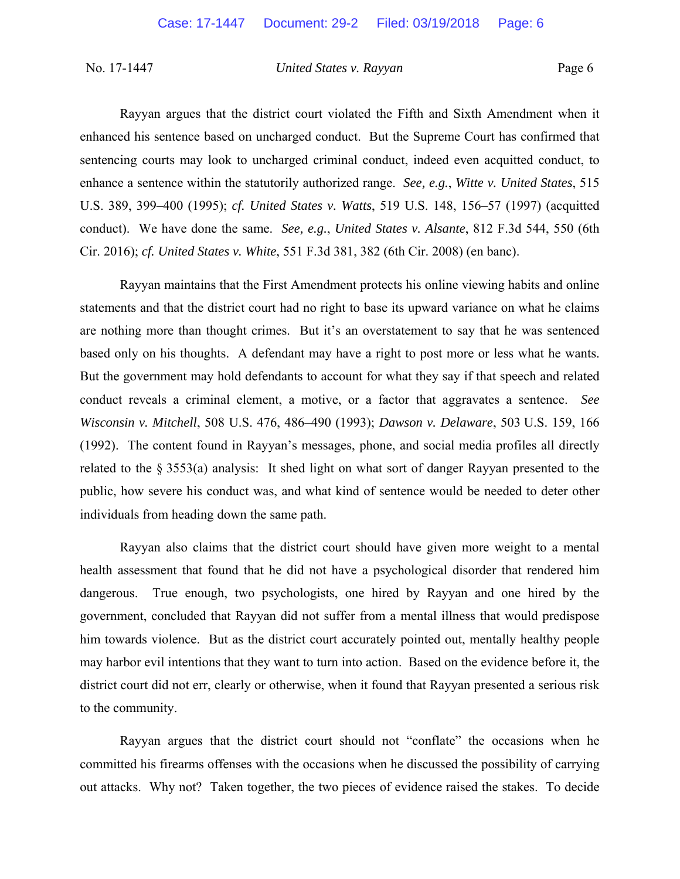Rayyan argues that the district court violated the Fifth and Sixth Amendment when it enhanced his sentence based on uncharged conduct. But the Supreme Court has confirmed that sentencing courts may look to uncharged criminal conduct, indeed even acquitted conduct, to enhance a sentence within the statutorily authorized range. *See, e.g.*, *Witte v. United States*, 515 U.S. 389, 399–400 (1995); *cf. United States v. Watts*, 519 U.S. 148, 156–57 (1997) (acquitted conduct). We have done the same. *See, e.g.*, *United States v. Alsante*, 812 F.3d 544, 550 (6th Cir. 2016); *cf. United States v. White*, 551 F.3d 381, 382 (6th Cir. 2008) (en banc).

Rayyan maintains that the First Amendment protects his online viewing habits and online statements and that the district court had no right to base its upward variance on what he claims are nothing more than thought crimes. But it's an overstatement to say that he was sentenced based only on his thoughts. A defendant may have a right to post more or less what he wants. But the government may hold defendants to account for what they say if that speech and related conduct reveals a criminal element, a motive, or a factor that aggravates a sentence. *See Wisconsin v. Mitchell*, 508 U.S. 476, 486–490 (1993); *Dawson v. Delaware*, 503 U.S. 159, 166 (1992). The content found in Rayyan's messages, phone, and social media profiles all directly related to the § 3553(a) analysis: It shed light on what sort of danger Rayyan presented to the public, how severe his conduct was, and what kind of sentence would be needed to deter other individuals from heading down the same path.

 Rayyan also claims that the district court should have given more weight to a mental health assessment that found that he did not have a psychological disorder that rendered him dangerous. True enough, two psychologists, one hired by Rayyan and one hired by the government, concluded that Rayyan did not suffer from a mental illness that would predispose him towards violence. But as the district court accurately pointed out, mentally healthy people may harbor evil intentions that they want to turn into action. Based on the evidence before it, the district court did not err, clearly or otherwise, when it found that Rayyan presented a serious risk to the community.

Rayyan argues that the district court should not "conflate" the occasions when he committed his firearms offenses with the occasions when he discussed the possibility of carrying out attacks. Why not? Taken together, the two pieces of evidence raised the stakes. To decide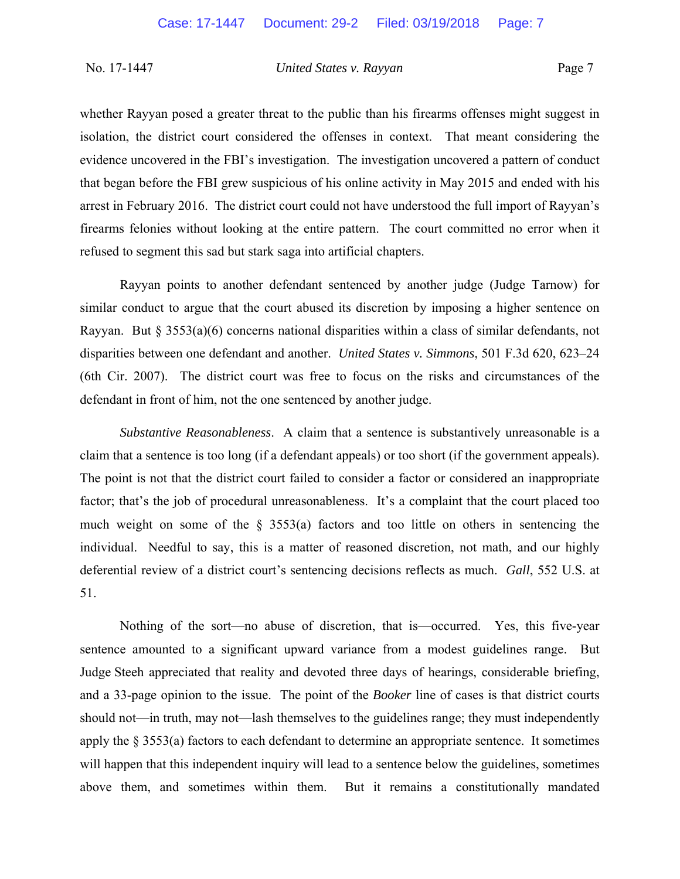whether Rayyan posed a greater threat to the public than his firearms offenses might suggest in isolation, the district court considered the offenses in context. That meant considering the evidence uncovered in the FBI's investigation. The investigation uncovered a pattern of conduct that began before the FBI grew suspicious of his online activity in May 2015 and ended with his arrest in February 2016. The district court could not have understood the full import of Rayyan's firearms felonies without looking at the entire pattern. The court committed no error when it refused to segment this sad but stark saga into artificial chapters.

Rayyan points to another defendant sentenced by another judge (Judge Tarnow) for similar conduct to argue that the court abused its discretion by imposing a higher sentence on Rayyan. But  $\S 3553(a)(6)$  concerns national disparities within a class of similar defendants, not disparities between one defendant and another. *United States v. Simmons*, 501 F.3d 620, 623–24 (6th Cir. 2007). The district court was free to focus on the risks and circumstances of the defendant in front of him, not the one sentenced by another judge.

*Substantive Reasonableness*. A claim that a sentence is substantively unreasonable is a claim that a sentence is too long (if a defendant appeals) or too short (if the government appeals). The point is not that the district court failed to consider a factor or considered an inappropriate factor; that's the job of procedural unreasonableness. It's a complaint that the court placed too much weight on some of the § 3553(a) factors and too little on others in sentencing the individual. Needful to say, this is a matter of reasoned discretion, not math, and our highly deferential review of a district court's sentencing decisions reflects as much. *Gall*, 552 U.S. at 51.

Nothing of the sort—no abuse of discretion, that is—occurred. Yes, this five-year sentence amounted to a significant upward variance from a modest guidelines range. But Judge Steeh appreciated that reality and devoted three days of hearings, considerable briefing, and a 33-page opinion to the issue. The point of the *Booker* line of cases is that district courts should not—in truth, may not—lash themselves to the guidelines range; they must independently apply the § 3553(a) factors to each defendant to determine an appropriate sentence. It sometimes will happen that this independent inquiry will lead to a sentence below the guidelines, sometimes above them, and sometimes within them. But it remains a constitutionally mandated